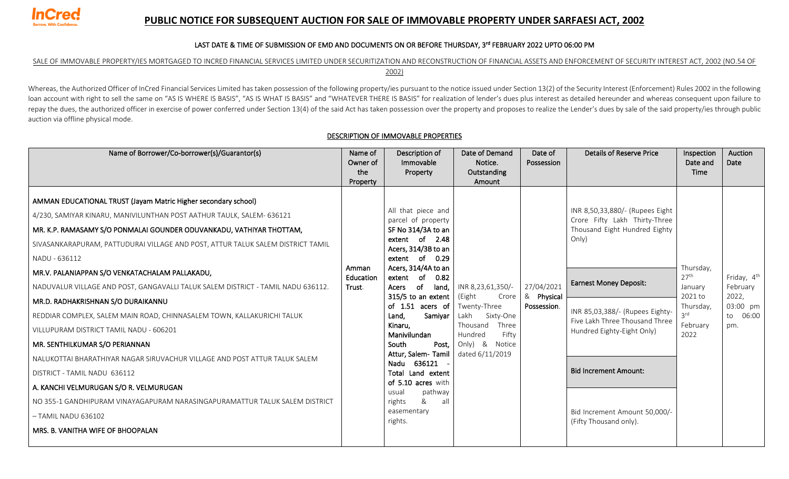

## **PUBLIC NOTICE FOR SUBSEQUENT AUCTION FOR SALE OF IMMOVABLE PROPERTY UNDER SARFAESI ACT, 2002**

### LAST DATE & TIME OF SUBMISSION OF EMD AND DOCUMENTS ON OR BEFORE THURSDAY, 3rd FEBRUARY 2022 UPTO 06:00 PM

## SALE OF IMMOVABLE PROPERTY/IES MORTGAGED TO INCRED FINANCIAL SERVICES LIMITED UNDER SECURITIZATION AND RECONSTRUCTION OF FINANCIAL ASSETS AND ENFORCEMENT OF SECURITY INTEREST ACT, 2002 (NO.54 OF

2002)

Whereas, the Authorized Officer of InCred Financial Services Limited has taken possession of the following property/ies pursuant to the notice issued under Section 13(2) of the Security Interest (Enforcement) Rules 2002 in loan account with right to sell the same on "AS IS WHERE IS BASIS", "AS IS WHAT IS BASIS" and "WHATEVER THERE IS BASIS" for realization of lender's dues plus interest as detailed hereunder and whereas consequent upon failu repay the dues, the authorized officer in exercise of power conferred under Section 13(4) of the said Act has taken possession over the property and proposes to realize the Lender's dues by sale of the said property/ies th auction via offline physical mode.

| Name of Borrower/Co-borrower(s)/Guarantor(s)                                                                                                                                                                                                                                                                                                                                                                                                                                                                                                                                                                                                                                                                                                                                                                                                                                                                                                                | Name of<br>Owner of<br>the<br>Property | Description of<br>Immovable<br>Property                                                                                                                                                                                                                                                                                                                                                                                                                                | Date of Demand<br>Notice.<br>Outstanding<br>Amount                                                                                                      | Date of<br>Possession                   | <b>Details of Reserve Price</b>                                                                                                                                                                                                                                                                                                           | Inspection<br>Date and<br><b>Time</b>                                                       | Auction<br>Date                                                             |
|-------------------------------------------------------------------------------------------------------------------------------------------------------------------------------------------------------------------------------------------------------------------------------------------------------------------------------------------------------------------------------------------------------------------------------------------------------------------------------------------------------------------------------------------------------------------------------------------------------------------------------------------------------------------------------------------------------------------------------------------------------------------------------------------------------------------------------------------------------------------------------------------------------------------------------------------------------------|----------------------------------------|------------------------------------------------------------------------------------------------------------------------------------------------------------------------------------------------------------------------------------------------------------------------------------------------------------------------------------------------------------------------------------------------------------------------------------------------------------------------|---------------------------------------------------------------------------------------------------------------------------------------------------------|-----------------------------------------|-------------------------------------------------------------------------------------------------------------------------------------------------------------------------------------------------------------------------------------------------------------------------------------------------------------------------------------------|---------------------------------------------------------------------------------------------|-----------------------------------------------------------------------------|
| AMMAN EDUCATIONAL TRUST (Jayam Matric Higher secondary school)<br>4/230, SAMIYAR KINARU, MANIVILUNTHAN POST AATHUR TAULK, SALEM- 636121<br>MR. K.P. RAMASAMY S/O PONMALAI GOUNDER ODUVANKADU, VATHIYAR THOTTAM,<br>SIVASANKARAPURAM, PATTUDURAI VILLAGE AND POST, ATTUR TALUK SALEM DISTRICT TAMIL<br>NADU - 636112<br>MR.V. PALANIAPPAN S/O VENKATACHALAM PALLAKADU,<br>NADUVALUR VILLAGE AND POST, GANGAVALLI TALUK SALEM DISTRICT - TAMIL NADU 636112.<br>MR.D. RADHAKRISHNAN S/O DURAIKANNU<br>REDDIAR COMPLEX, SALEM MAIN ROAD, CHINNASALEM TOWN, KALLAKURICHI TALUK<br>VILLUPURAM DISTRICT TAMIL NADU - 606201<br>MR. SENTHILKUMAR S/O PERIANNAN<br>NALUKOTTAI BHARATHIYAR NAGAR SIRUVACHUR VILLAGE AND POST ATTUR TALUK SALEM<br>DISTRICT - TAMIL NADU 636112<br>A. KANCHI VELMURUGAN S/O R. VELMURUGAN<br>NO 355-1 GANDHIPURAM VINAYAGAPURAM NARASINGAPURAMATTUR TALUK SALEM DISTRICT<br>$-$ TAMIL NADU 636102<br>MRS. B. VANITHA WIFE OF BHOOPALAN | Amman<br>Education<br>Trust.           | All that piece and<br>parcel of property<br>SF No 314/3A to an<br>extent of 2.48<br>Acers, 314/3B to an<br>extent of<br>0.29<br>Acers, 314/4A to an<br>of<br>0.82<br>extent<br>of<br>land,<br>Acers<br>315/5 to an extent $ $<br>of 1.51 acers of<br>Samiyar<br>Land.<br>Kinaru,<br>Manivilundan<br>South<br>Post,<br>Attur, Salem-Tamil<br>Nadu 636121<br>Total Land extent<br>of 5.10 acres with<br>usual<br>pathway<br>&<br>all<br>rights<br>easementary<br>rights. | INR 8,23,61,350/-<br>(Eight<br>Crore<br>Twenty-Three<br>Lakh<br>Sixty-One<br>Thousand<br>Three<br>Hundred<br>Fifty<br>Only) & Notice<br>dated 6/11/2019 | 27/04/2021<br>& Physical<br>Possession. | INR 8,50,33,880/- (Rupees Eight<br>Crore Fifty Lakh Thirty-Three<br>Thousand Eight Hundred Eighty<br>Only)<br><b>Earnest Money Deposit:</b><br>INR 85,03,388/- (Rupees Eighty-<br>Five Lakh Three Thousand Three<br>Hundred Eighty-Eight Only)<br><b>Bid Increment Amount:</b><br>Bid Increment Amount 50,000/-<br>(Fifty Thousand only). | Thursday,<br>27 <sup>th</sup><br>January<br>2021 to<br>Thursday,<br>3rd<br>February<br>2022 | Friday, 4 <sup>th</sup><br>February<br>2022,<br>03:00 pm<br>to 06:00<br>pm. |

### DESCRIPTION OF IMMOVABLE PROPERTIES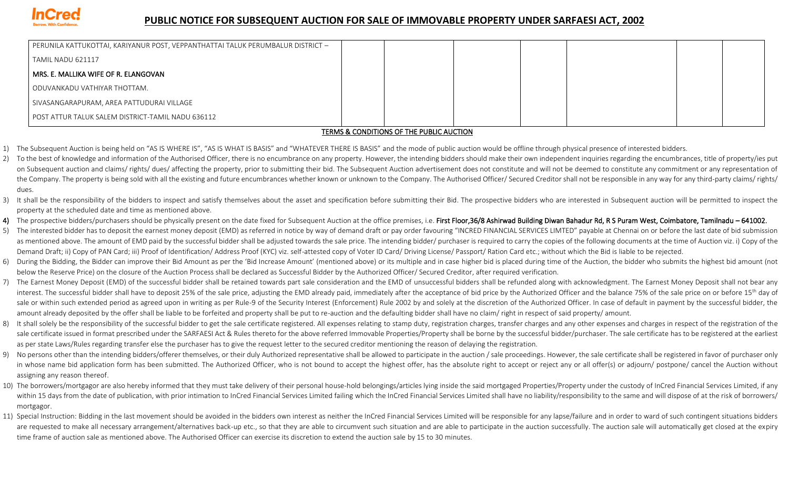

# **PUBLIC NOTICE FOR SUBSEQUENT AUCTION FOR SALE OF IMMOVABLE PROPERTY UNDER SARFAESI ACT, 2002**

| PERUNILA KATTUKOTTAI, KARIYANUR POST, VEPPANTHATTAI TALUK PERUMBALUR DISTRICT – |  |  |  |  |  |  |  |  |  |
|---------------------------------------------------------------------------------|--|--|--|--|--|--|--|--|--|
| TAMIL NADU 621117                                                               |  |  |  |  |  |  |  |  |  |
| MRS. E. MALLIKA WIFE OF R. ELANGOVAN_                                           |  |  |  |  |  |  |  |  |  |
| ODUVANKADU VATHIYAR THOTTAM.                                                    |  |  |  |  |  |  |  |  |  |
| SIVASANGARAPURAM, AREA PATTUDURAI VILLAGE                                       |  |  |  |  |  |  |  |  |  |
| POST ATTUR TALUK SALEM DISTRICT-TAMIL NADU 636112                               |  |  |  |  |  |  |  |  |  |
| <b>TEN 10 0 CONDITIONS OF THE NUNLO HUGTION</b>                                 |  |  |  |  |  |  |  |  |  |

### TERMS & CONDITIONS OF THE PUBLIC AUCTION

- 1) The Subsequent Auction is being held on "AS IS WHERE IS", "AS IS WHAT IS BASIS" and "WHATEVER THERE IS BASIS" and the mode of public auction would be offline through physical presence of interested bidders.
- 2) To the best of knowledge and information of the Authorised Officer, there is no encumbrance on any property. However, the intending bidders should make their own independent inquiries regarding the encumbrances, title o on Subsequent auction and claims/rights/dues/affecting the property, prior to submitting their bid. The Subsequent Auction advertisement does not constitute and will not be deemed to constitute any commitment or any repres the Company. The property is being sold with all the existing and future encumbrances whether known or unknown to the Company. The Authorised Officer/ Secured Creditor shall not be responsible in any way for any third-part dues.
- 3) It shall be the responsibility of the bidders to inspect and satisfy themselves about the asset and specification before submitting their Bid. The prospective bidders who are interested in Subsequent auction will be per property at the scheduled date and time as mentioned above.
- 4) The prospective bidders/purchasers should be physically present on the date fixed for Subsequent Auction at the office premises, i.e. First Floor, 36/8 Ashirwad Building Diwan Bahadur Rd, R S Puram West, Coimbatore, Tam
- 5) The interested bidder has to deposit the earnest money deposit (EMD) as referred in notice by way of demand draft or pay order favouring "INCRED FINANCIAL SERVICES LIMTED" payable at Chennai on or before the last date o as mentioned above. The amount of EMD paid by the successful bidder shall be adjusted towards the sale price. The intending bidder/ purchaser is required to carry the copies of the following documents at the time of Auctio Demand Draft; ii) Copy of PAN Card; iii) Proof of Identification/ Address Proof (KYC) viz. self-attested copy of Voter ID Card/ Driving License/ Passport/ Ration Card etc.; without which the Bid is liable to be rejected.
- 6) During the Bidding, the Bidder can improve their Bid Amount as per the 'Bid Increase Amount' (mentioned above) or its multiple and in case higher bid is placed during time of the Auction, the bidder who submits the high below the Reserve Price) on the closure of the Auction Process shall be declared as Successful Bidder by the Authorized Officer/ Secured Creditor, after required verification.
- 7) The Earnest Money Deposit (EMD) of the successful bidder shall be retained towards part sale consideration and the EMD of unsuccessful bidders shall be refunded along with acknowledgment. The Earnest Money Deposit shall interest. The successful bidder shall have to deposit 25% of the sale price, adjusting the EMD already paid, immediately after the acceptance of bid price by the Authorized Officer and the balance 75% of the sale price on sale or within such extended period as agreed upon in writing as per Rule-9 of the Security Interest (Enforcement) Rule 2002 by and solely at the discretion of the Authorized Officer. In case of default in payment by the s amount already deposited by the offer shall be liable to be forfeited and property shall be put to re-auction and the defaulting bidder shall have no claim/ right in respect of said property/ amount.
- 8) It shall solely be the responsibility of the successful bidder to get the sale certificate registered. All expenses relating to stamp duty, registration charges, transfer charges and any other expenses and charges in re sale certificate issued in format prescribed under the SARFAESI Act & Rules thereto for the above referred Immovable Properties/Property shall be borne by the successful bidder/purchaser. The sale certificate has to be reg as per state Laws/Rules regarding transfer else the purchaser has to give the request letter to the secured creditor mentioning the reason of delaying the registration.
- 9) No persons other than the intending bidders/offerer themselves, or their duly Authorized representative shall be allowed to participate in the auction / sale proceedings. However, the sale certificate shall be registere in whose name bid application form has been submitted. The Authorized Officer, who is not bound to accept the highest offer, has the absolute right to accept or reject any or all offer(s) or adiourn/ postpone/ cancel the A assigning any reason thereof.
- 10) The borrowers/mortgagor are also hereby informed that they must take delivery of their personal house-hold belongings/articles lying inside the said mortgaged Properties/Property under the custody of InCred Financial S within 15 days from the date of publication, with prior intimation to InCred Financial Services Limited failing which the InCred Financial Services Limited shall have no liability/responsibility to the same and will dispos mortgagor.
- 11) Special Instruction: Bidding in the last movement should be avoided in the bidders own interest as neither the InCred Financial Services Limited will be responsible for any lapse/failure and in order to ward of such co are requested to make all necessary arrangement/alternatives back-up etc., so that they are able to circumvent such situation and are able to participate in the auction successfully. The auction sale will automatically get time frame of auction sale as mentioned above. The Authorised Officer can exercise its discretion to extend the auction sale by 15 to 30 minutes.